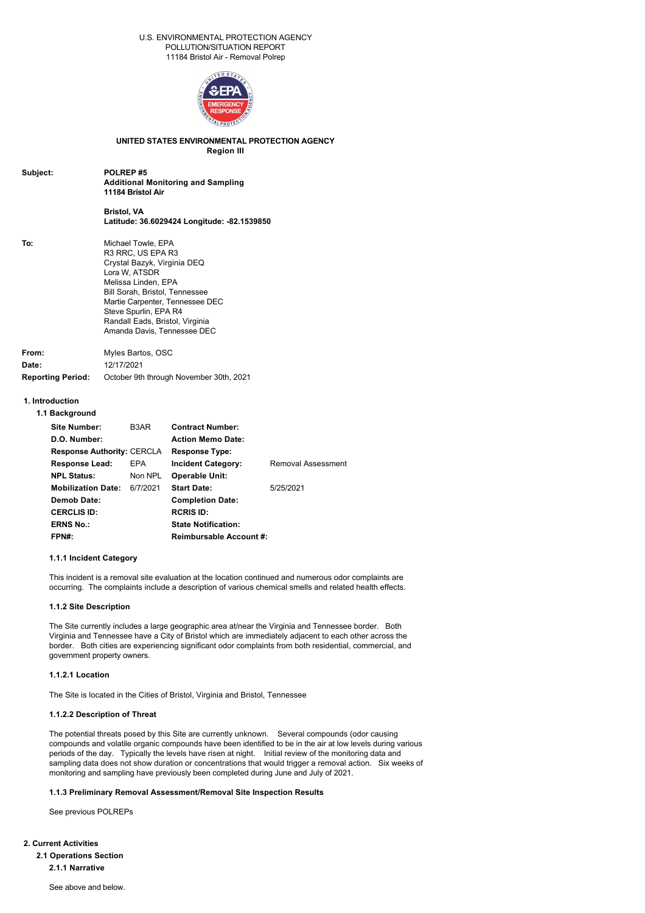### U.S. ENVIRONMENTAL PROTECTION AGENCY POLLUTION/SITUATION REPORT 11184 Bristol Air - Removal Polrep



# **UNITED STATES ENVIRONMENTAL PROTECTION AGENCY**

**Region III**

| Subject: | POLREP#5                                  |
|----------|-------------------------------------------|
|          | <b>Additional Monitoring and Sampling</b> |
|          | 11184 Bristol Air                         |
|          |                                           |

# **Bristol, VA Latitude: 36.6029424 Longitude: 82.1539850**

| To: | Michael Towle, EPA              |
|-----|---------------------------------|
|     | R3 RRC, US EPA R3               |
|     |                                 |
|     | Crystal Bazyk, Virginia DEQ     |
|     | Lora W, ATSDR                   |
|     | Melissa Linden, EPA             |
|     | Bill Sorah, Bristol, Tennessee  |
|     | Martie Carpenter, Tennessee DEC |
|     | Steve Spurlin, EPA R4           |
|     | Randall Eads, Bristol, Virginia |
|     | Amanda Davis, Tennessee DEC     |
|     |                                 |
|     |                                 |

| From:                    | Myles Bartos, OSC                       |
|--------------------------|-----------------------------------------|
| Date:                    | 12/17/2021                              |
| <b>Reporting Period:</b> | October 9th through November 30th, 2021 |

# **1. Introduction**

# **1.1 Background**

| Site Number:<br>D.O. Number:      | B3AR     | <b>Contract Number:</b><br><b>Action Memo Date:</b> |                    |
|-----------------------------------|----------|-----------------------------------------------------|--------------------|
|                                   |          |                                                     |                    |
| <b>Response Authority: CERCLA</b> |          | <b>Response Type:</b>                               |                    |
| <b>Response Lead:</b>             | EPA      | <b>Incident Category:</b>                           | Removal Assessment |
| <b>NPL Status:</b>                | Non NPL  | <b>Operable Unit:</b>                               |                    |
| <b>Mobilization Date:</b>         | 6/7/2021 | <b>Start Date:</b>                                  | 5/25/2021          |
| Demob Date:                       |          | <b>Completion Date:</b>                             |                    |
| <b>CERCLIS ID:</b>                |          | <b>RCRIS ID:</b>                                    |                    |
| <b>ERNS No.:</b>                  |          | <b>State Notification:</b>                          |                    |
| FPN#:                             |          | <b>Reimbursable Account #:</b>                      |                    |

### **1.1.1 Incident Category**

This incident is a removal site evaluation at the location continued and numerous odor complaints are occurring. The complaints include a description of various chemical smells and related health effects.

### **1.1.2 Site Description**

The Site currently includes a large geographic area at/near the Virginia and Tennessee border. Both Virginia and Tennessee have a City of Bristol which are immediately adjacent to each other across the border. Both cities are experiencing significant odor complaints from both residential, commercial, and government property owners.

### **1.1.2.1 Location**

The Site is located in the Cities of Bristol, Virginia and Bristol, Tennessee

### **1.1.2.2 Description of Threat**

The potential threats posed by this Site are currently unknown. Several compounds (odor causing compounds and volatile organic compounds have been identified to be in the air at low levels during various periods of the day. Typically the levels have risen at night. Initial review of the monitoring data and sampling data does not show duration or concentrations that would trigger a removal action. Six weeks of monitoring and sampling have previously been completed during June and July of 2021.

# **1.1.3 Preliminary Removal Assessment/Removal Site Inspection Results**

See previous POLREPs

**2. Current Activities 2.1 Operations Section 2.1.1 Narrative**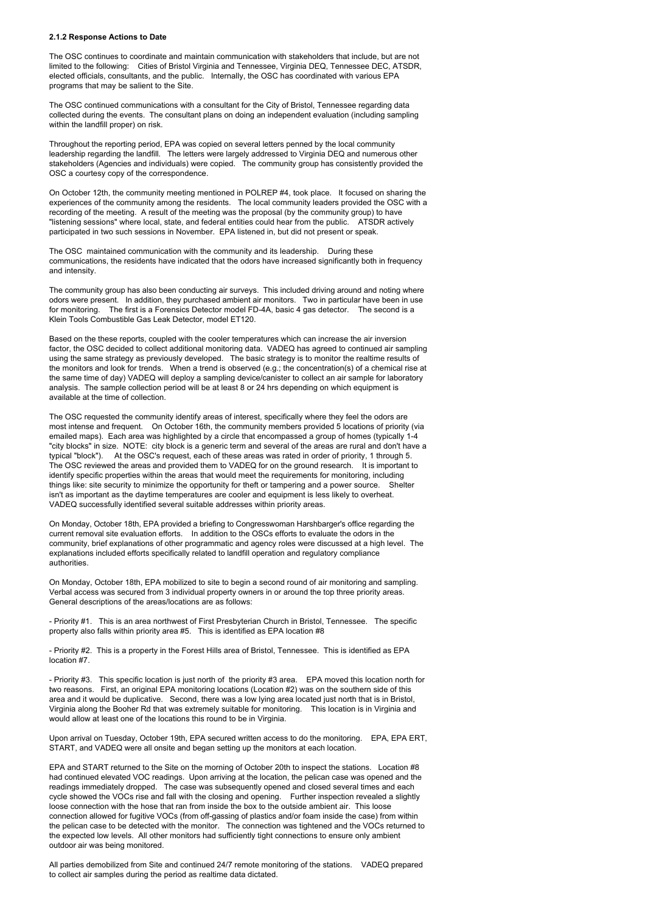#### **2.1.2 Response Actions to Date**

The OSC continues to coordinate and maintain communication with stakeholders that include, but are not limited to the following: Cities of Bristol Virginia and Tennessee, Virginia DEQ, Tennessee DEC, ATSDR, elected officials, consultants, and the public. Internally, the OSC has coordinated with various EPA programs that may be salient to the Site.

The OSC continued communications with a consultant for the City of Bristol, Tennessee regarding data collected during the events. The consultant plans on doing an independent evaluation (including sampling within the landfill proper) on risk.

Throughout the reporting period, EPA was copied on several letters penned by the local community leadership regarding the landfill. The letters were largely addressed to Virginia DEQ and numerous other stakeholders (Agencies and individuals) were copied. The community group has consistently provided the OSC a courtesy copy of the correspondence.

On October 12th, the community meeting mentioned in POLREP #4, took place. It focused on sharing the experiences of the community among the residents. The local community leaders provided the OSC with a recording of the meeting. A result of the meeting was the proposal (by the community group) to have "listening sessions" where local, state, and federal entities could hear from the public. ATSDR actively participated in two such sessions in November. EPA listened in, but did not present or speak.

The OSC maintained communication with the community and its leadership. During these communications, the residents have indicated that the odors have increased significantly both in frequency and intensity.

The community group has also been conducting air surveys. This included driving around and noting where odors were present. In addition, they purchased ambient air monitors. Two in particular have been in use for monitoring. The first is a Forensics Detector model FD-4A, basic 4 gas detector. The second is a Klein Tools Combustible Gas Leak Detector, model ET120.

Based on the these reports, coupled with the cooler temperatures which can increase the air inversion factor, the OSC decided to collect additional monitoring data. VADEQ has agreed to continued air sampling using the same strategy as previously developed. The basic strategy is to monitor the realtime results of the monitors and look for trends. When a trend is observed (e.g.; the concentration(s) of a chemical rise at the same time of day) VADEQ will deploy a sampling device/canister to collect an air sample for laboratory analysis. The sample collection period will be at least 8 or 24 hrs depending on which equipment is available at the time of collection.

The OSC requested the community identify areas of interest, specifically where they feel the odors are most intense and frequent. On October 16th, the community members provided 5 locations of priority (via emailed maps). Each area was highlighted by a circle that encompassed a group of homes (typically 1-4 "city blocks" in size. NOTE: city block is a generic term and several of the areas are rural and don't have a typical "block"). At the OSC's request, each of these areas was rated in order of priority, 1 through 5. The OSC reviewed the areas and provided them to VADEQ for on the ground research. It is important to identify specific properties within the areas that would meet the requirements for monitoring, including things like: site security to minimize the opportunity for theft or tampering and a power source. Shelter isn't as important as the daytime temperatures are cooler and equipment is less likely to overheat. VADEQ successfully identified several suitable addresses within priority areas.

On Monday, October 18th, EPA provided a briefing to Congresswoman Harshbarger's office regarding the current removal site evaluation efforts. In addition to the OSCs efforts to evaluate the odors in the community, brief explanations of other programmatic and agency roles were discussed at a high level. The explanations included efforts specifically related to landfill operation and regulatory compliance authorities.

On Monday, October 18th, EPA mobilized to site to begin a second round of air monitoring and sampling. Verbal access was secured from 3 individual property owners in or around the top three priority areas. General descriptions of the areas/locations are as follows:

 Priority #1. This is an area northwest of First Presbyterian Church in Bristol, Tennessee. The specific property also falls within priority area #5. This is identified as EPA location #8

- Priority #2. This is a property in the Forest Hills area of Bristol, Tennessee. This is identified as EPA location #7.

- Priority #3. This specific location is just north of the priority #3 area. EPA moved this location north for two reasons. First, an original EPA monitoring locations (Location #2) was on the southern side of this area and it would be duplicative. Second, there was a low lying area located just north that is in Bristol, Virginia along the Booher Rd that was extremely suitable for monitoring. This location is in Virginia and would allow at least one of the locations this round to be in Virginia.

Upon arrival on Tuesday, October 19th, EPA secured written access to do the monitoring. EPA, EPA ERT, START, and VADEQ were all onsite and began setting up the monitors at each location.

EPA and START returned to the Site on the morning of October 20th to inspect the stations. Location #8 had continued elevated VOC readings. Upon arriving at the location, the pelican case was opened and the readings immediately dropped. The case was subsequently opened and closed several times and each cycle showed the VOCs rise and fall with the closing and opening. Further inspection revealed a slightly loose connection with the hose that ran from inside the box to the outside ambient air. This loose connection allowed for fugitive VOCs (from off-gassing of plastics and/or foam inside the case) from within the pelican case to be detected with the monitor. The connection was tightened and the VOCs returned to the expected low levels. All other monitors had sufficiently tight connections to ensure only ambient outdoor air was being monitored.

All parties demobilized from Site and continued 24/7 remote monitoring of the stations. VADEQ prepared to collect air samples during the period as realtime data dictated.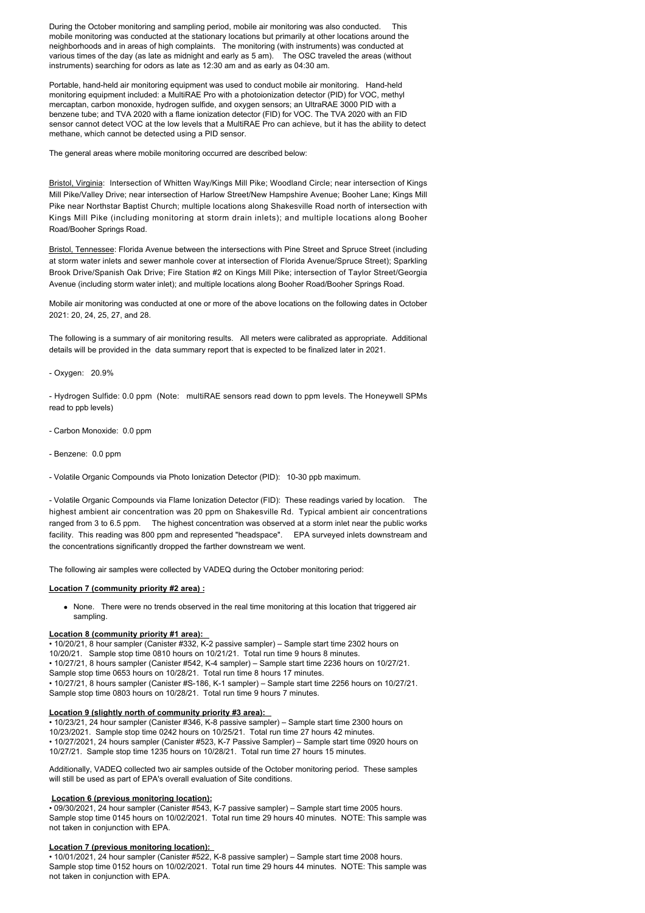During the October monitoring and sampling period, mobile air monitoring was also conducted. This mobile monitoring was conducted at the stationary locations but primarily at other locations around the neighborhoods and in areas of high complaints. The monitoring (with instruments) was conducted at various times of the day (as late as midnight and early as 5 am). The OSC traveled the areas (without instruments) searching for odors as late as 12:30 am and as early as 04:30 am.

Portable, hand-held air monitoring equipment was used to conduct mobile air monitoring. Hand-held monitoring equipment included: a MultiRAE Pro with a photoionization detector (PID) for VOC, methyl mercaptan, carbon monoxide, hydrogen sulfide, and oxygen sensors; an UltraRAE 3000 PID with a benzene tube; and TVA 2020 with a flame ionization detector (FID) for VOC. The TVA 2020 with an FID sensor cannot detect VOC at the low levels that a MultiRAE Pro can achieve, but it has the ability to detect methane, which cannot be detected using a PID sensor.

The general areas where mobile monitoring occurred are described below:

Bristol, Virginia: Intersection of Whitten Way/Kings Mill Pike; Woodland Circle; near intersection of Kings Mill Pike/Valley Drive; near intersection of Harlow Street/New Hampshire Avenue; Booher Lane; Kings Mill Pike near Northstar Baptist Church; multiple locations along Shakesville Road north of intersection with Kings Mill Pike (including monitoring at storm drain inlets); and multiple locations along Booher Road/Booher Springs Road.

Bristol, Tennessee: Florida Avenue between the intersections with Pine Street and Spruce Street (including at storm water inlets and sewer manhole cover at intersection of Florida Avenue/Spruce Street); Sparkling Brook Drive/Spanish Oak Drive; Fire Station #2 on Kings Mill Pike; intersection of Taylor Street/Georgia Avenue (including storm water inlet); and multiple locations along Booher Road/Booher Springs Road.

Mobile air monitoring was conducted at one or more of the above locations on the following dates in October 2021: 20, 24, 25, 27, and 28.

The following is a summary of air monitoring results. All meters were calibrated as appropriate. Additional details will be provided in the data summary report that is expected to be finalized later in 2021.

Oxygen: 20.9%

- Hydrogen Sulfide: 0.0 ppm (Note: multiRAE sensors read down to ppm levels. The Honeywell SPMs read to ppb levels)

- Carbon Monoxide: 0.0 ppm
- Benzene: 0.0 ppm

- Volatile Organic Compounds via Photo Ionization Detector (PID): 10-30 ppb maximum.

 Volatile Organic Compounds via Flame Ionization Detector (FID): These readings varied by location. The highest ambient air concentration was 20 ppm on Shakesville Rd. Typical ambient air concentrations ranged from 3 to 6.5 ppm. The highest concentration was observed at a storm inlet near the public works facility. This reading was 800 ppm and represented "headspace". EPA surveyed inlets downstream and the concentrations significantly dropped the farther downstream we went.

The following air samples were collected by VADEQ during the October monitoring period:

### **Location 7 (community priority #2 area) :**

• None. There were no trends observed in the real time monitoring at this location that triggered air sampling.

### **Location 8 (community priority #1 area):**

• 10/20/21, 8 hour sampler (Canister #332, K2 passive sampler) – Sample start time 2302 hours on 10/20/21. Sample stop time 0810 hours on 10/21/21. Total run time 9 hours 8 minutes. • 10/27/21, 8 hours sampler (Canister #542, K4 sampler) – Sample start time 2236 hours on 10/27/21. Sample stop time 0653 hours on 10/28/21. Total run time 8 hours 17 minutes. • 10/27/21, 8 hours sampler (Canister #S-186, K-1 sampler) - Sample start time 2256 hours on 10/27/21. Sample stop time 0803 hours on 10/28/21. Total run time 9 hours 7 minutes.

### **Location 9 (slightly north of community priority #3 area):**

• 10/23/21, 24 hour sampler (Canister #346, K-8 passive sampler) - Sample start time 2300 hours on 10/23/2021. Sample stop time 0242 hours on 10/25/21. Total run time 27 hours 42 minutes. • 10/27/2021, 24 hours sampler (Canister #523, K7 Passive Sampler) – Sample start time 0920 hours on 10/27/21. Sample stop time 1235 hours on 10/28/21. Total run time 27 hours 15 minutes.

Additionally, VADEQ collected two air samples outside of the October monitoring period. These samples will still be used as part of EPA's overall evaluation of Site conditions.

### **Location 6 (previous monitoring location):**

• 09/30/2021, 24 hour sampler (Canister #543, K-7 passive sampler) – Sample start time 2005 hours. Sample stop time 0145 hours on 10/02/2021. Total run time 29 hours 40 minutes. NOTE: This sample was not taken in conjunction with EPA.

### **Location 7 (previous monitoring location):**

• 10/01/2021, 24 hour sampler (Canister #522, K-8 passive sampler) – Sample start time 2008 hours. Sample stop time 0152 hours on 10/02/2021. Total run time 29 hours 44 minutes. NOTE: This sample was not taken in conjunction with EPA.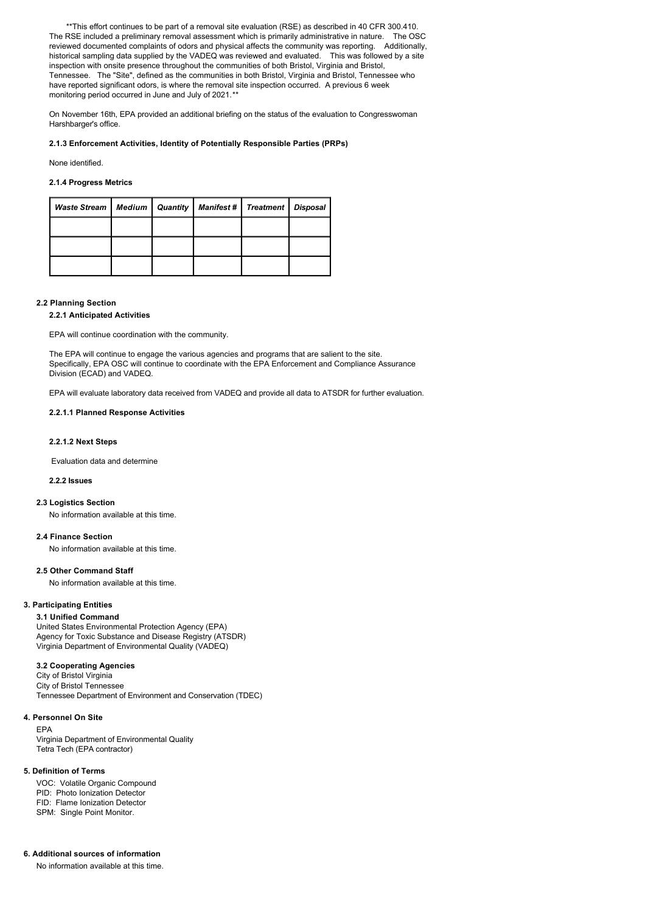\*\*This effort continues to be part of a removal site evaluation (RSE) as described in 40 CFR 300.410. The RSE included a preliminary removal assessment which is primarily administrative in nature. The OSC reviewed documented complaints of odors and physical affects the community was reporting. Additionally, historical sampling data supplied by the VADEQ was reviewed and evaluated. This was followed by a site inspection with onsite presence throughout the communities of both Bristol, Virginia and Bristol, Tennessee. The "Site", defined as the communities in both Bristol, Virginia and Bristol, Tennessee who have reported significant odors, is where the removal site inspection occurred. A previous 6 week monitoring period occurred in June and July of 2021.*\*\** 

On November 16th, EPA provided an additional briefing on the status of the evaluation to Congresswoman Harshbarger's office.

### **2.1.3 Enforcement Activities, Identity of Potentially Responsible Parties (PRPs)**

None identified.

# **2.1.4 Progress Metrics**

| Waste Stream   Medium |  | Quantity   Manifest # | Treatment | Disposal |
|-----------------------|--|-----------------------|-----------|----------|
|                       |  |                       |           |          |
|                       |  |                       |           |          |
|                       |  |                       |           |          |

### **2.2 Planning Section**

### **2.2.1 Anticipated Activities**

EPA will continue coordination with the community.

The EPA will continue to engage the various agencies and programs that are salient to the site. Specifically, EPA OSC will continue to coordinate with the EPA Enforcement and Compliance Assurance Division (ECAD) and VADEQ.

EPA will evaluate laboratory data received from VADEQ and provide all data to ATSDR for further evaluation.

### **2.2.1.1 Planned Response Activities**

### **2.2.1.2 Next Steps**

Evaluation data and determine

### **2.2.2 Issues**

## **2.3 Logistics Section**

No information available at this time.

#### **2.4 Finance Section**

No information available at this time.

#### **2.5 Other Command Staff**

No information available at this time.

### **3. Participating Entities**

### **3.1 Unified Command**

United States Environmental Protection Agency (EPA) Agency for Toxic Substance and Disease Registry (ATSDR) Virginia Department of Environmental Quality (VADEQ)

### **3.2 Cooperating Agencies**

City of Bristol Virginia City of Bristol Tennessee Tennessee Department of Environment and Conservation (TDEC)

### **4. Personnel On Site**

EPA Virginia Department of Environmental Quality Tetra Tech (EPA contractor)

#### **5. Definition of Terms**

VOC: Volatile Organic Compound PID: Photo Ionization Detector FID: Flame Ionization Detector SPM: Single Point Monitor.

### **6. Additional sources of information**

No information available at this time.